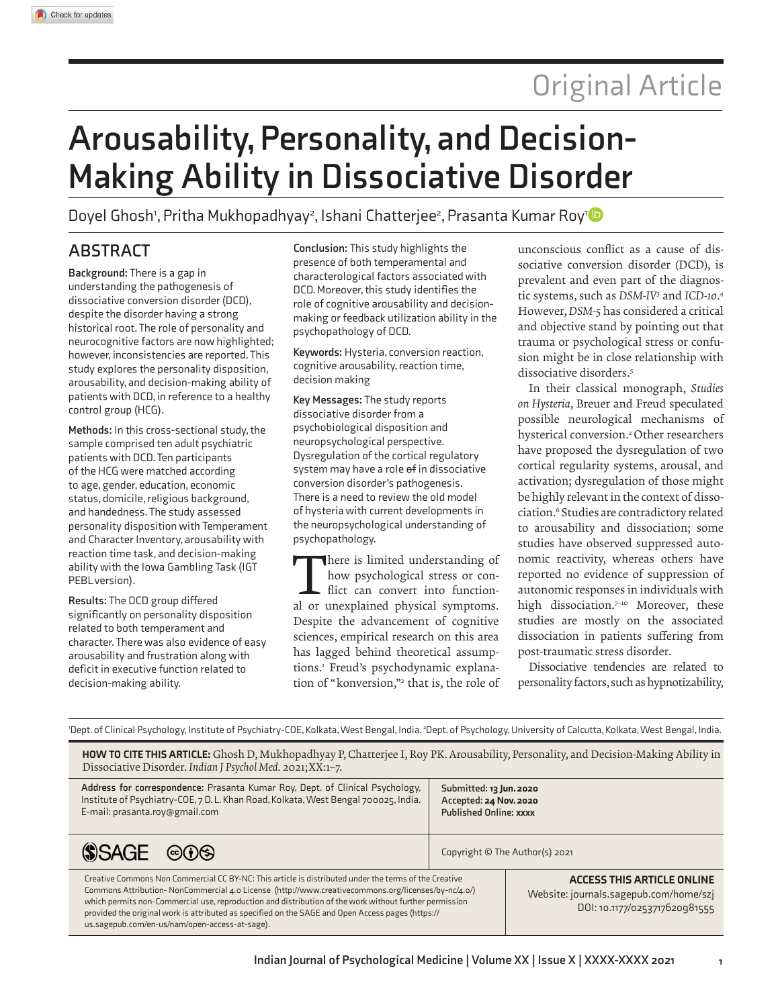# Original Article

# **Arousability, Personality, and Decision-Making Ability in Dissociative Disorder**

Doyel Ghosh', Pritha Mukhopadhyay<sup>2</sup>, Ishani Chatterjee<sup>2</sup>, Prasanta Kumar Roy'

# **ABSTRACT**

**Background:** There is a gap in understanding the pathogenesis of dissociative conversion disorder (DCD), despite the disorder having a strong historical root. The role of personality and neurocognitive factors are now highlighted; however, inconsistencies are reported. This study explores the personality disposition, arousability, and decision-making ability of patients with DCD, in reference to a healthy control group (HCG).

**Methods:** In this cross-sectional study, the sample comprised ten adult psychiatric patients with DCD. Ten participants of the HCG were matched according to age, gender, education, economic status, domicile, religious background, and handedness. The study assessed personality disposition with Temperament and Character Inventory, arousability with reaction time task, and decision-making ability with the Iowa Gambling Task (IGT PEBL version).

**Results:** The DCD group differed significantly on personality disposition related to both temperament and character. There was also evidence of easy arousability and frustration along with deficit in executive function related to decision-making ability.

**Conclusion:** This study highlights the presence of both temperamental and characterological factors associated with DCD. Moreover, this study identifies the role of cognitive arousability and decisionmaking or feedback utilization ability in the psychopathology of DCD.

**Keywords:** Hysteria, conversion reaction, cognitive arousability, reaction time, decision making

**Key Messages:** The study reports dissociative disorder from a psychobiological disposition and neuropsychological perspective. Dysregulation of the cortical regulatory system may have a role of in dissociative conversion disorder's pathogenesis. There is a need to review the old model of hysteria with current developments in the neuropsychological understanding of psychopathology.

There is limited understanding of<br>how psychological stress or con-<br>flict can convert into function-<br>al or unexplained physical symptoms. here is limited understanding of how psychological stress or conflict can convert into function-Despite the advancement of cognitive sciences, empirical research on this area has lagged behind theoretical assumptions.<sup>1</sup> Freud's psychodynamic explanation of "konversion,"<sup>2</sup> that is, the role of unconscious conflict as a cause of dissociative conversion disorder (DCD), is prevalent and even part of the diagnostic systems, such as *DSM-IV*<sup>3</sup> and *ICD-10*. 4 However, *DSM-5* has considered a critical and objective stand by pointing out that trauma or psychological stress or confusion might be in close relationship with dissociative disorders.<sup>5</sup>

In their classical monograph, *Studies on Hysteria*, Breuer and Freud speculated possible neurological mechanisms of hysterical conversion.<sup>2</sup> Other researchers have proposed the dysregulation of two cortical regularity systems, arousal, and activation; dysregulation of those might be highly relevant in the context of dissociation.<sup>6</sup> Studies are contradictory related to arousability and dissociation; some studies have observed suppressed autonomic reactivity, whereas others have reported no evidence of suppression of autonomic responses in individuals with high dissociation.<sup>7-10</sup> Moreover, these studies are mostly on the associated dissociation in patients suffering from post-traumatic stress disorder.

Dissociative tendencies are related to personality factors, such as hypnotizability,

|  |  | 'Dept. of Clinical Psychology, Institute of Psychiatry-COE, Kolkata, West Bengal, India. <sup>2</sup> Dept. of Psychology, University of Calcutta, Kolkata, West Bengal, India. |  |  |  |
|--|--|---------------------------------------------------------------------------------------------------------------------------------------------------------------------------------|--|--|--|
|--|--|---------------------------------------------------------------------------------------------------------------------------------------------------------------------------------|--|--|--|

HOW TO CITE THIS ARTICLE: Ghosh D, Mukhopadhyay P, Chatterjee I, Roy PK. Arousability, Personality, and Decision-Making Ability in Dissociative Disorder. *Indian J Psychol Med.* 2021;XX:1–7.

| Address for correspondence: Prasanta Kumar Roy, Dept. of Clinical Psychology,       | Submitted: 13 Jun. 2020        |  |
|-------------------------------------------------------------------------------------|--------------------------------|--|
| Institute of Psychiatry-COE, 7 D. L. Khan Road, Kolkata, West Bengal 700025, India. | Accepted: 24 Nov. 2020         |  |
| E-mail: prasanta.roy@gmail.com                                                      | <b>Published Online: xxxx</b>  |  |
| $SASGE$ © 0                                                                         | Copyright © The Author(s) 2021 |  |

Creative Commons Non Commercial CC BY-NC: This article is distributed under the terms of the Creative Commons Attribution- NonCommercial 4.0 License (http://www.creativecommons.org/licenses/by-nc/4.0/) which permits non-Commercial use, reproduction and distribution of the work without further permission provided the original work is attributed as specified on the SAGE and Open Access pages (https:// us.sagepub.com/en-us/nam/open-access-at-sage).

aCCeSS THiS aRTiCle ONliNe Website: journals.sagepub.com/home/szj DOI: 10.1177/0253717620981555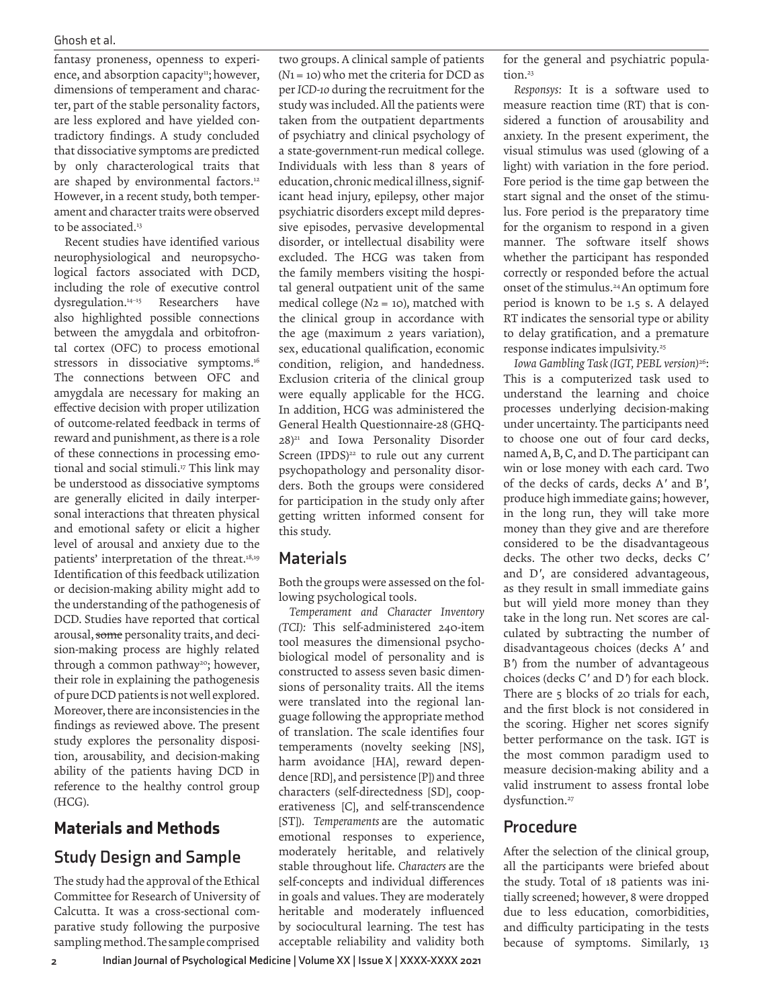#### Ghosh et al.

fantasy proneness, openness to experience, and absorption capacity<sup>11</sup>; however, dimensions of temperament and character, part of the stable personality factors, are less explored and have yielded contradictory findings. A study concluded that dissociative symptoms are predicted by only characterological traits that are shaped by environmental factors.<sup>12</sup> However, in a recent study, both temperament and character traits were observed to be associated.<sup>13</sup>

Recent studies have identified various neurophysiological and neuropsychological factors associated with DCD, including the role of executive control dysregulation.14–15 Researchers have also highlighted possible connections between the amygdala and orbitofrontal cortex (OFC) to process emotional stressors in dissociative symptoms.<sup>16</sup> The connections between OFC and amygdala are necessary for making an effective decision with proper utilization of outcome-related feedback in terms of reward and punishment, as there is a role of these connections in processing emotional and social stimuli.<sup>17</sup> This link may be understood as dissociative symptoms are generally elicited in daily interpersonal interactions that threaten physical and emotional safety or elicit a higher level of arousal and anxiety due to the patients' interpretation of the threat.18,19 Identification of this feedback utilization or decision-making ability might add to the understanding of the pathogenesis of DCD. Studies have reported that cortical arousal, some personality traits, and decision-making process are highly related through a common pathway<sup>20</sup>; however, their role in explaining the pathogenesis of pure DCD patients is not well explored. Moreover, there are inconsistencies in the findings as reviewed above. The present study explores the personality disposition, arousability, and decision-making ability of the patients having DCD in reference to the healthy control group (HCG).

# Materials and Methods

# **Study Design and Sample**

The study had the approval of the Ethical Committee for Research of University of Calcutta. It was a cross-sectional comparative study following the purposive sampling method. The sample comprised

two groups. A clinical sample of patients (*N*1= 10) who met the criteria for DCD as per *ICD-10* during the recruitment for the study was included. All the patients were taken from the outpatient departments of psychiatry and clinical psychology of a state-government-run medical college. Individuals with less than 8 years of education, chronic medical illness, significant head injury, epilepsy, other major psychiatric disorders except mild depressive episodes, pervasive developmental disorder, or intellectual disability were excluded. The HCG was taken from the family members visiting the hospital general outpatient unit of the same medical college (*N*2 = 10), matched with the clinical group in accordance with the age (maximum 2 years variation), sex, educational qualification, economic condition, religion, and handedness. Exclusion criteria of the clinical group were equally applicable for the HCG. In addition, HCG was administered the General Health Questionnaire-28 (GHQ-28)<sup>21</sup> and Iowa Personality Disorder Screen (IPDS)<sup>22</sup> to rule out any current psychopathology and personality disorders. Both the groups were considered for participation in the study only after getting written informed consent for this study.

## **Materials**

Both the groups were assessed on the following psychological tools.

*Temperament and Character Inventory (TCI):* This self-administered 240-item tool measures the dimensional psychobiological model of personality and is constructed to assess seven basic dimensions of personality traits. All the items were translated into the regional language following the appropriate method of translation. The scale identifies four temperaments (novelty seeking [NS], harm avoidance [HA], reward dependence [RD], and persistence [P]) and three characters (self-directedness [SD], cooperativeness [C], and self-transcendence [ST]). *Temperaments* are the automatic emotional responses to experience, moderately heritable, and relatively stable throughout life. *Characters* are the self-concepts and individual differences in goals and values. They are moderately heritable and moderately influenced by sociocultural learning. The test has acceptable reliability and validity both

for the general and psychiatric population<sup>23</sup>

*Responsys:* It is a software used to measure reaction time (RT) that is considered a function of arousability and anxiety. In the present experiment, the visual stimulus was used (glowing of a light) with variation in the fore period. Fore period is the time gap between the start signal and the onset of the stimulus. Fore period is the preparatory time for the organism to respond in a given manner. The software itself shows whether the participant has responded correctly or responded before the actual onset of the stimulus.<sup>24</sup>An optimum fore period is known to be 1.5 s. A delayed RT indicates the sensorial type or ability to delay gratification, and a premature response indicates impulsivity.<sup>25</sup>

*Iowa Gambling Task (IGT, PEBL version)*<sup>26</sup>: This is a computerized task used to understand the learning and choice processes underlying decision-making under uncertainty. The participants need to choose one out of four card decks, named A, B, C, and D. The participant can win or lose money with each card. Two of the decks of cards, decks A*'* and B*'*, produce high immediate gains; however, in the long run, they will take more money than they give and are therefore considered to be the disadvantageous decks. The other two decks, decks C*'* and D*'*, are considered advantageous, as they result in small immediate gains but will yield more money than they take in the long run. Net scores are calculated by subtracting the number of disadvantageous choices (decks A*'* and B*'*) from the number of advantageous choices (decks C*'* and D*'*) for each block. There are 5 blocks of 20 trials for each, and the first block is not considered in the scoring. Higher net scores signify better performance on the task. IGT is the most common paradigm used to measure decision-making ability and a valid instrument to assess frontal lobe dysfunction.<sup>27</sup>

## **Procedure**

After the selection of the clinical group, all the participants were briefed about the study. Total of 18 patients was initially screened; however, 8 were dropped due to less education, comorbidities, and difficulty participating in the tests because of symptoms. Similarly, 13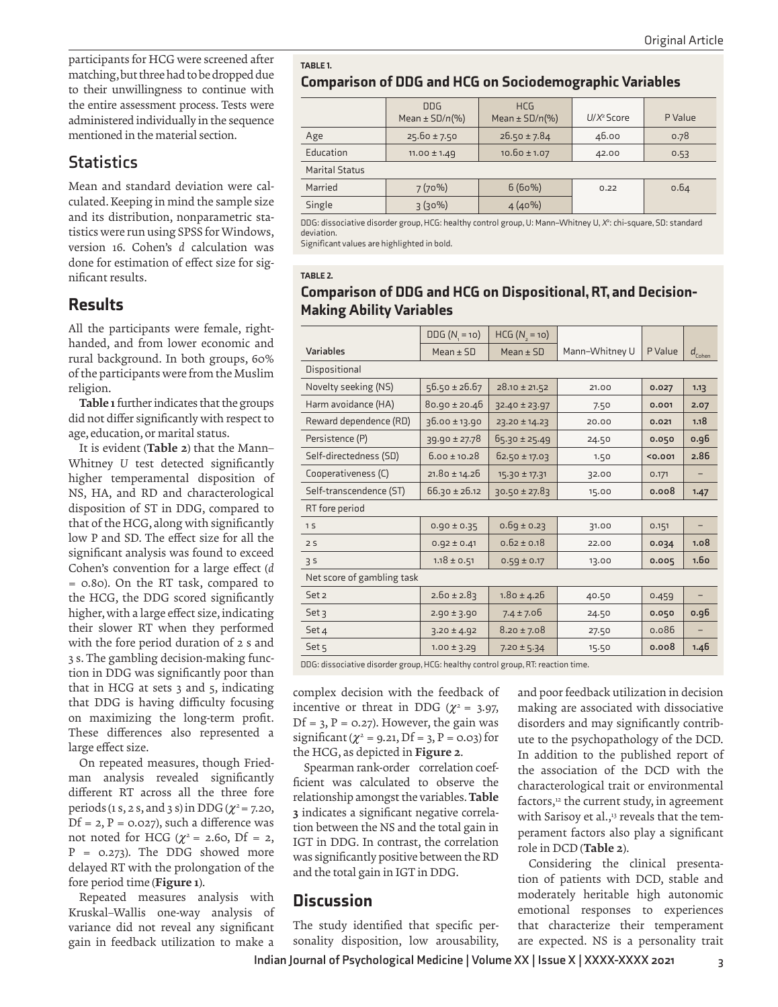participants for HCG were screened after matching, but three had to be dropped due to their unwillingness to continue with the entire assessment process. Tests were administered individually in the sequence mentioned in the material section.

## **Statistics**

Mean and standard deviation were calculated. Keeping in mind the sample size and its distribution, nonparametric statistics were run using SPSS for Windows, version 16. Cohen's *d* calculation was done for estimation of effect size for significant results.

## Results

All the participants were female, righthanded, and from lower economic and rural background. In both groups, 60% of the participants were from the Muslim religion.

Table 1 further indicates that the groups did not differ significantly with respect to age, education, or marital status.

It is evident (Table 2) that the Mann– Whitney *U* test detected significantly higher temperamental disposition of NS, HA, and RD and characterological disposition of ST in DDG, compared to that of the HCG, along with significantly low P and SD. The effect size for all the significant analysis was found to exceed Cohen's convention for a large effect (*d* = 0.80). On the RT task, compared to the HCG, the DDG scored significantly higher, with a large effect size, indicating their slower RT when they performed with the fore period duration of 2 s and 3 s. The gambling decision-making function in DDG was significantly poor than that in HCG at sets 3 and 5, indicating that DDG is having difficulty focusing on maximizing the long-term profit. These differences also represented a large effect size.

On repeated measures, though Friedman analysis revealed significantly different RT across all the three fore periods (1 s, 2 s, and 3 s) in DDG (*|* <sup>2</sup>= 7.20,  $Df = 2$ ,  $P = 0.027$ ), such a difference was not noted for HCG ( $\chi^2$  = 2.60, Df = 2,  $P = 0.273$ ). The DDG showed more delayed RT with the prolongation of the fore period time (Figure 1).

Repeated measures analysis with Kruskal–Wallis one-way analysis of variance did not reveal any significant gain in feedback utilization to make a

TABLE<sub>1</sub>.

Comparison of DDG and HCG on Sociodemographic Variables

|                       | <b>DDG</b><br>Mean $\pm$ SD/n(%) | <b>HCG</b><br>Mean $\pm$ SD/n(%) | $U/X^2$ Score | P Value |
|-----------------------|----------------------------------|----------------------------------|---------------|---------|
| Age                   | $25.60 \pm 7.50$                 | $26.50 \pm 7.84$                 | 46.00         | 0.78    |
| Education             | $11.00 \pm 1.49$                 | $10.60 \pm 1.07$                 | 42.00         | 0.53    |
| <b>Marital Status</b> |                                  |                                  |               |         |
| Married               | 7(70%)                           | 6(60%)                           | 0.22          | 0.64    |
| Single                | $3(30\%)$                        | $4(40\%)$                        |               |         |

DDG: dissociative disorder group, HCG: healthy control group, U: Mann–Whitney U, *<sup>X</sup>* 2 : chi-square, SD: standard deviation.

Significant values are highlighted in bold.

#### TABLE<sub>2</sub>.

#### Comparison of DDG and HCG on Dispositional, RT, and Decision-**Making Ability Variables**

|                            | $DDG (N = 10)$    | $HCG (N_1 = 10)$  |                |         |                  |
|----------------------------|-------------------|-------------------|----------------|---------|------------------|
| Variables                  | $Mean \pm SD$     | $Mean \pm SD$     | Mann-Whitney U | P Value | $d_{Cohen}$      |
| Dispositional              |                   |                   |                |         |                  |
| Novelty seeking (NS)       | $56.50 \pm 26.67$ | $28.10 \pm 21.52$ | 21.00          | 0.027   | 1.13             |
| Harm avoidance (HA)        | $80.90 \pm 20.46$ | 32.40 ± 23.97     | 7.50           | 0.001   | 2.07             |
| Reward dependence (RD)     | 36.00 ± 13.90     | 23.20 ± 14.23     | 20.00          | 0.021   | 1.18             |
| Persistence (P)            | $39.90 \pm 27.78$ | $65.30 \pm 25.49$ | 24.50          | 0.050   | o.g6             |
| Self-directedness (SD)     | $6.00 \pm 10.28$  | $62.50 \pm 17.03$ | 1.50           | < 0.001 | 2.86             |
| Cooperativeness (C)        | $21.80 \pm 14.26$ | 15.30 ± 17.31     | 32.00          | 0.171   | -                |
| Self-transcendence (ST)    | $66.30 \pm 26.12$ | $30.50 \pm 27.83$ | 15.00          | 0.008   | 1.47             |
| RT fore period             |                   |                   |                |         |                  |
| 1 <sub>S</sub>             | $0.90 \pm 0.35$   | $0.69 \pm 0.23$   | 31.00          | 0.151   | -                |
| 2S                         | $0.92 \pm 0.41$   | $0.62 \pm 0.18$   | 22.00          | 0.034   | 1.08             |
| 35                         | $1.18 \pm 0.51$   | $0.59 \pm 0.17$   | 13.00          | 0.005   | 1.6 <sub>o</sub> |
| Net score of gambling task |                   |                   |                |         |                  |
| Set 2                      | $2.60 \pm 2.83$   | $1.80 \pm 4.26$   | 40.50          | 0.459   | -                |
| Set <sub>3</sub>           | $2.90 \pm 3.90$   | $7.4 \pm 7.06$    | 24.50          | 0.050   | o.g6             |
| Set 4                      | $3.20 \pm 4.92$   | $8.20 \pm 7.08$   | 27.50          | 0.086   | -                |
| Set <sub>5</sub>           | $1.00 \pm 3.29$   | $7.20 \pm 5.34$   | 15.50          | 0.008   | 1.46             |
|                            |                   |                   |                |         |                  |

DDG: dissociative disorder group, HCG: healthy control group, RT: reaction time.

complex decision with the feedback of incentive or threat in DDG ( $\chi^2$  = 3.97,  $Df = 3$ ,  $P = 0.27$ ). However, the gain was significant ( $\chi^2$  = 9.21, Df = 3, P = 0.03) for the HCG, as depicted in Figure 2.

Spearman rank-order correlation coefficient was calculated to observe the relationship amongst the variables. Table 3 indicates a significant negative correlation between the NS and the total gain in IGT in DDG. In contrast, the correlation was significantly positive between the RD and the total gain in IGT in DDG.

## **Discussion**

The study identified that specific personality disposition, low arousability, and poor feedback utilization in decision making are associated with dissociative disorders and may significantly contribute to the psychopathology of the DCD. In addition to the published report of the association of the DCD with the characterological trait or environmental factors,<sup>12</sup> the current study, in agreement with Sarisoy et al.,<sup>13</sup> reveals that the temperament factors also play a significant role in DCD (Table 2).

Considering the clinical presentation of patients with DCD, stable and moderately heritable high autonomic emotional responses to experiences that characterize their temperament are expected. NS is a personality trait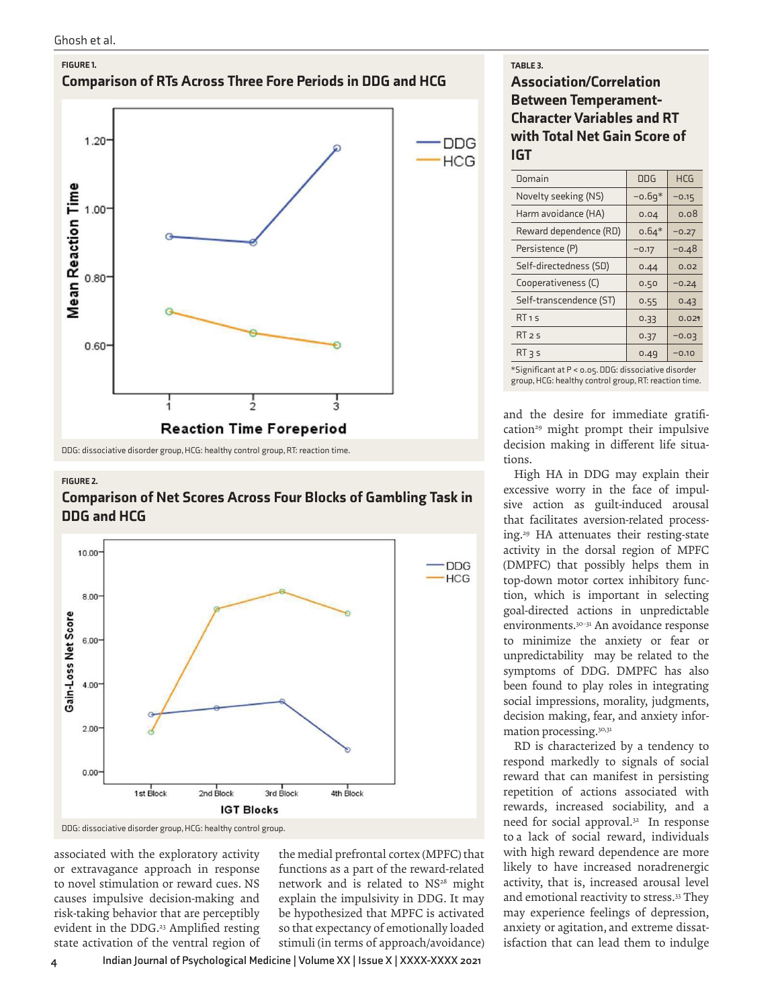Ghosh et al.



DDG: dissociative disorder group, HCG: healthy control group, RT: reaction time.

#### FiGuRe 2.

#### **Comparison of Net Scores Across Four Blocks of Gambling Task in** DDG and HCG



DDG: dissociative disorder group, HCG: healthy control group.

associated with the exploratory activity or extravagance approach in response to novel stimulation or reward cues. NS causes impulsive decision-making and risk-taking behavior that are perceptibly evident in the DDG.<sup>23</sup> Amplified resting state activation of the ventral region of the medial prefrontal cortex (MPFC) that functions as a part of the reward-related network and is related to NS<sup>28</sup> might explain the impulsivity in DDG. It may be hypothesized that MPFC is activated so that expectancy of emotionally loaded stimuli (in terms of approach/avoidance)

#### TABLE 3.

## association/Correlation between Temperament-Character Variables and RT with Total Net Gain Score of iGT

| Domain                  | <b>DDG</b> | <b>HCG</b> |
|-------------------------|------------|------------|
| Novelty seeking (NS)    | $-0.69*$   | $-0.15$    |
| Harm avoidance (HA)     | 0.04       | 0.08       |
| Reward dependence (RD)  | $0.64*$    | $-0.27$    |
| Persistence (P)         | $-0.17$    | $-0.48$    |
| Self-directedness (SD)  | 0.44       | 0.02       |
| Cooperativeness (C)     | 0.50       | $-0.24$    |
| Self-transcendence (ST) | 0.55       | 0.43       |
| RT1S                    | 0.33       | 0.021      |
| RT <sub>25</sub>        | 0.37       | $-0.03$    |
| $RT$ 3 s                | 0.49       | $-0.10$    |
|                         |            |            |

\*Significant at P < 0.05. DDG: dissociative disorder group, HCG: healthy control group, RT: reaction time.

and the desire for immediate gratification<sup>29</sup> might prompt their impulsive decision making in different life situations.

High HA in DDG may explain their excessive worry in the face of impulsive action as guilt-induced arousal that facilitates aversion-related processing.<sup>29</sup> HA attenuates their resting-state activity in the dorsal region of MPFC (DMPFC) that possibly helps them in top-down motor cortex inhibitory function, which is important in selecting goal-directed actions in unpredictable environments.30–31 An avoidance response to minimize the anxiety or fear or unpredictability may be related to the symptoms of DDG. DMPFC has also been found to play roles in integrating social impressions, morality, judgments, decision making, fear, and anxiety information processing.30,31

RD is characterized by a tendency to respond markedly to signals of social reward that can manifest in persisting repetition of actions associated with rewards, increased sociability, and a need for social approval.<sup>32</sup> In response to a lack of social reward, individuals with high reward dependence are more likely to have increased noradrenergic activity, that is, increased arousal level and emotional reactivity to stress.<sup>33</sup> They may experience feelings of depression, anxiety or agitation, and extreme dissatisfaction that can lead them to indulge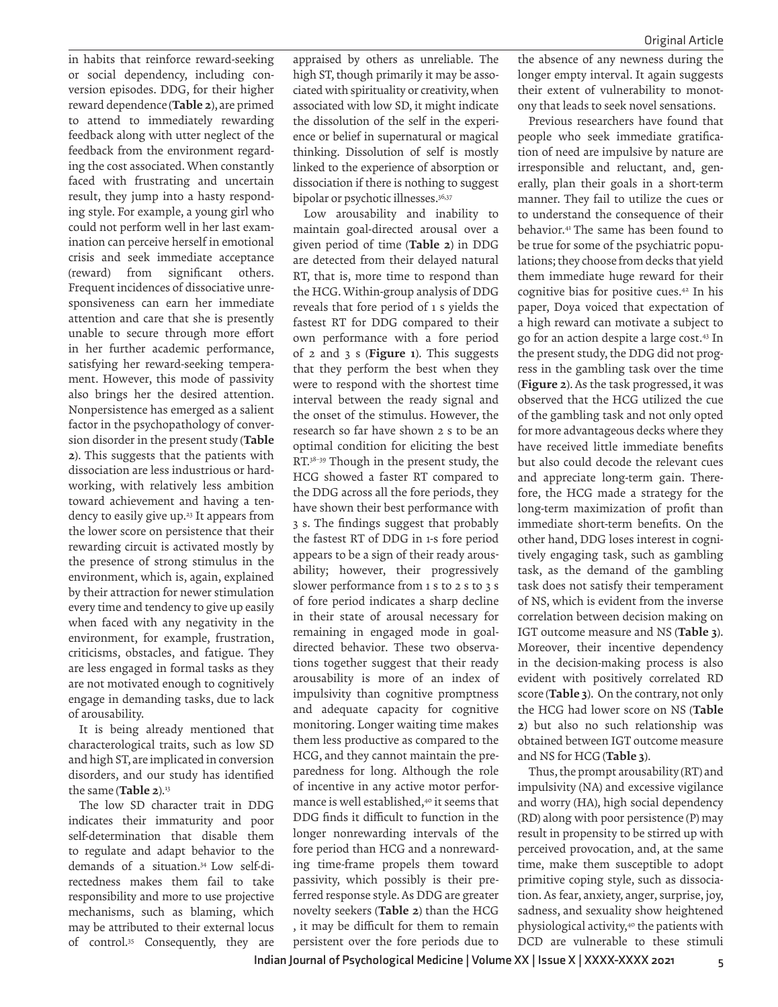in habits that reinforce reward-seeking or social dependency, including conversion episodes. DDG, for their higher reward dependence (Table 2), are primed to attend to immediately rewarding feedback along with utter neglect of the feedback from the environment regarding the cost associated. When constantly faced with frustrating and uncertain result, they jump into a hasty responding style. For example, a young girl who could not perform well in her last examination can perceive herself in emotional crisis and seek immediate acceptance (reward) from significant others. Frequent incidences of dissociative unresponsiveness can earn her immediate attention and care that she is presently unable to secure through more effort in her further academic performance, satisfying her reward-seeking temperament. However, this mode of passivity also brings her the desired attention. Nonpersistence has emerged as a salient factor in the psychopathology of conversion disorder in the present study (Table 2). This suggests that the patients with dissociation are less industrious or hardworking, with relatively less ambition toward achievement and having a tendency to easily give up.<sup>23</sup> It appears from the lower score on persistence that their rewarding circuit is activated mostly by the presence of strong stimulus in the environment, which is, again, explained by their attraction for newer stimulation every time and tendency to give up easily when faced with any negativity in the environment, for example, frustration, criticisms, obstacles, and fatigue. They are less engaged in formal tasks as they are not motivated enough to cognitively engage in demanding tasks, due to lack of arousability.

It is being already mentioned that characterological traits, such as low SD and high ST, are implicated in conversion disorders, and our study has identified the same (Table 2).<sup>13</sup>

The low SD character trait in DDG indicates their immaturity and poor self-determination that disable them to regulate and adapt behavior to the demands of a situation.34 Low self-directedness makes them fail to take responsibility and more to use projective mechanisms, such as blaming, which may be attributed to their external locus of control.<sup>35</sup> Consequently, they are

appraised by others as unreliable. The high ST, though primarily it may be associated with spirituality or creativity, when associated with low SD, it might indicate the dissolution of the self in the experience or belief in supernatural or magical thinking. Dissolution of self is mostly linked to the experience of absorption or dissociation if there is nothing to suggest bipolar or psychotic illnesses.<sup>36,37</sup>

Low arousability and inability to maintain goal-directed arousal over a given period of time (Table 2) in DDG are detected from their delayed natural RT, that is, more time to respond than the HCG. Within-group analysis of DDG reveals that fore period of 1 s yields the fastest RT for DDG compared to their own performance with a fore period of  $2$  and  $3$  s (Figure 1). This suggests that they perform the best when they were to respond with the shortest time interval between the ready signal and the onset of the stimulus. However, the research so far have shown 2 s to be an optimal condition for eliciting the best RT.38–39 Though in the present study, the HCG showed a faster RT compared to the DDG across all the fore periods, they have shown their best performance with 3 s. The findings suggest that probably the fastest RT of DDG in 1-s fore period appears to be a sign of their ready arousability; however, their progressively slower performance from 1 s to 2 s to 3 s of fore period indicates a sharp decline in their state of arousal necessary for remaining in engaged mode in goaldirected behavior. These two observations together suggest that their ready arousability is more of an index of impulsivity than cognitive promptness and adequate capacity for cognitive monitoring. Longer waiting time makes them less productive as compared to the HCG, and they cannot maintain the preparedness for long. Although the role of incentive in any active motor performance is well established.<sup>40</sup> it seems that DDG finds it difficult to function in the longer nonrewarding intervals of the fore period than HCG and a nonrewarding time-frame propels them toward passivity, which possibly is their preferred response style. As DDG are greater novelty seekers (Table 2) than the HCG , it may be difficult for them to remain persistent over the fore periods due to

the absence of any newness during the longer empty interval. It again suggests their extent of vulnerability to monotony that leads to seek novel sensations.

Previous researchers have found that people who seek immediate gratification of need are impulsive by nature are irresponsible and reluctant, and, generally, plan their goals in a short-term manner. They fail to utilize the cues or to understand the consequence of their behavior.<sup>41</sup>The same has been found to be true for some of the psychiatric populations; they choose from decks that yield them immediate huge reward for their cognitive bias for positive cues.<sup>42</sup> In his paper, Doya voiced that expectation of a high reward can motivate a subject to go for an action despite a large cost.<sup>43</sup> In the present study, the DDG did not progress in the gambling task over the time (Figure 2). As the task progressed, it was observed that the HCG utilized the cue of the gambling task and not only opted for more advantageous decks where they have received little immediate benefits but also could decode the relevant cues and appreciate long-term gain. Therefore, the HCG made a strategy for the long-term maximization of profit than immediate short-term benefits. On the other hand, DDG loses interest in cognitively engaging task, such as gambling task, as the demand of the gambling task does not satisfy their temperament of NS, which is evident from the inverse correlation between decision making on IGT outcome measure and NS (Table 3). Moreover, their incentive dependency in the decision-making process is also evident with positively correlated RD score (Table 3). On the contrary, not only the HCG had lower score on NS (Table 2) but also no such relationship was obtained between IGT outcome measure and NS for HCG (Table 3).

Thus, the prompt arousability (RT) and impulsivity (NA) and excessive vigilance and worry (HA), high social dependency (RD) along with poor persistence (P) may result in propensity to be stirred up with perceived provocation, and, at the same time, make them susceptible to adopt primitive coping style, such as dissociation. As fear, anxiety, anger, surprise, joy, sadness, and sexuality show heightened physiological activity,<sup>40</sup> the patients with DCD are vulnerable to these stimuli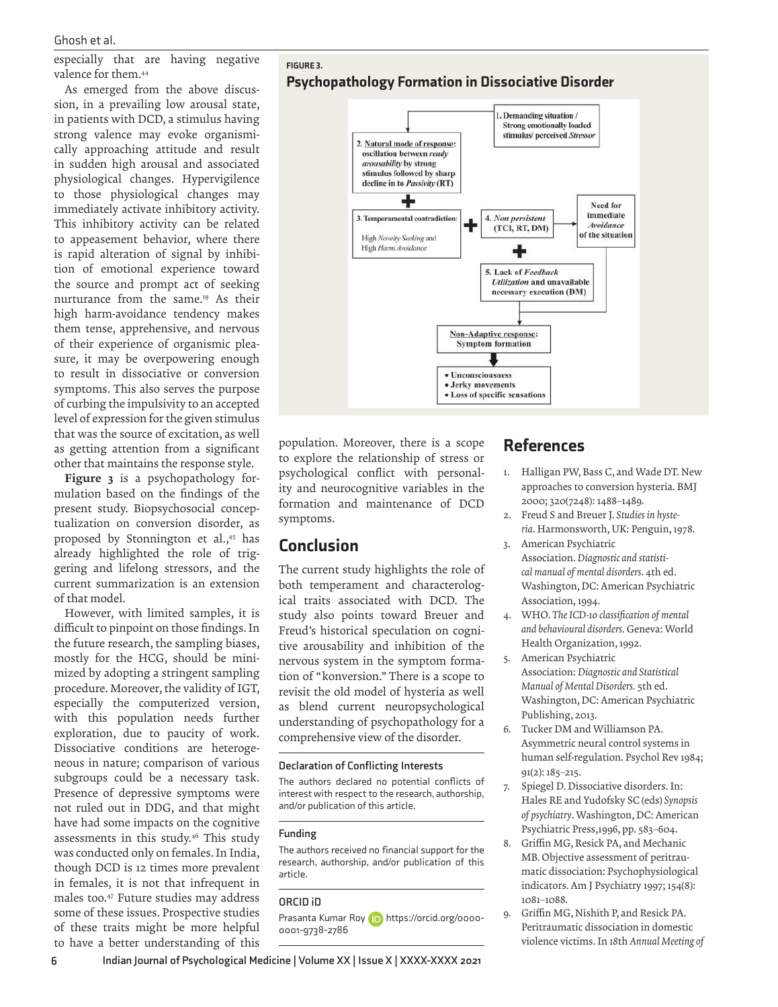especially that are having negative valence for them.<sup>44</sup>

As emerged from the above discussion, in a prevailing low arousal state, in patients with DCD, a stimulus having strong valence may evoke organismically approaching attitude and result in sudden high arousal and associated physiological changes. Hypervigilence to those physiological changes may immediately activate inhibitory activity. This inhibitory activity can be related to appeasement behavior, where there is rapid alteration of signal by inhibition of emotional experience toward the source and prompt act of seeking nurturance from the same.<sup>19</sup> As their high harm-avoidance tendency makes them tense, apprehensive, and nervous of their experience of organismic pleasure, it may be overpowering enough to result in dissociative or conversion symptoms. This also serves the purpose of curbing the impulsivity to an accepted level of expression for the given stimulus that was the source of excitation, as well as getting attention from a significant other that maintains the response style.

Figure 3 is a psychopathology formulation based on the findings of the present study. Biopsychosocial conceptualization on conversion disorder, as proposed by Stonnington et al.,<sup>45</sup> has already highlighted the role of triggering and lifelong stressors, and the current summarization is an extension of that model.

However, with limited samples, it is difficult to pinpoint on those findings. In the future research, the sampling biases, mostly for the HCG, should be minimized by adopting a stringent sampling procedure. Moreover, the validity of IGT, especially the computerized version, with this population needs further exploration, due to paucity of work. Dissociative conditions are heterogeneous in nature; comparison of various subgroups could be a necessary task. Presence of depressive symptoms were not ruled out in DDG, and that might have had some impacts on the cognitive assessments in this study.<sup>46</sup> This study was conducted only on females. In India, though DCD is 12 times more prevalent in females, it is not that infrequent in males too.<sup>47</sup> Future studies may address some of these issues. Prospective studies of these traits might be more helpful to have a better understanding of this





population. Moreover, there is a scope to explore the relationship of stress or psychological conflict with personality and neurocognitive variables in the formation and maintenance of DCD symptoms.

## Conclusion

The current study highlights the role of both temperament and characterological traits associated with DCD. The study also points toward Breuer and Freud's historical speculation on cognitive arousability and inhibition of the nervous system in the symptom formation of "konversion." There is a scope to revisit the old model of hysteria as well as blend current neuropsychological understanding of psychopathology for a comprehensive view of the disorder.

#### **Declaration of Conflicting Interests**

The authors declared no potential conflicts of interest with respect to the research, authorship, and/or publication of this article.

#### **Funding**

The authors received no financial support for the research, authorship, and/or publication of this article.

#### **ORCID iD**

Prasanta Kumar Roy (D) https://orcid.org/0000-0001-9738-2786

## References

- 1. Halligan PW, Bass C, and Wade DT. New approaches to conversion hysteria. BMJ 2000; 320(7248): 1488–1489.
- 2. Freud S and Breuer J. *Studies in hysteria*. Harmonsworth, UK: Penguin, 1978. 3. American Psychiatric
- Association. *Diagnostic and statistical manual of mental disorders*. 4th ed. Washington, DC: American Psychiatric Association, 1994.
- 4. WHO. *The ICD-10 classification of mental and behavioural disorders*. Geneva: World Health Organization, 1992.
- 5. American Psychiatric Association: *Diagnostic and Statistical Manual of Mental Disorders.* 5th ed. Washington, DC: American Psychiatric Publishing, 2013.
- 6. Tucker DM and Williamson PA. Asymmetric neural control systems in human self-regulation. Psychol Rev 1984; 91(2): 185–215.
- 7. Spiegel D. Dissociative disorders. In: Hales RE and Yudofsky SC (eds) *Synopsis of psychiatry*. Washington, DC: American Psychiatric Press,1996, pp. 583–604.
- 8. Griffin MG, Resick PA, and Mechanic MB. Objective assessment of peritraumatic dissociation: Psychophysiological indicators. Am J Psychiatry 1997; 154(8): 1081–1088.
- 9. Griffin MG, Nishith P, and Resick PA. Peritraumatic dissociation in domestic violence victims. In *18*th *Annual Meeting of*

**6 Indian Journal of Psychological Medicine | Volume XX | Issue X | XXXX-XXXX 2021**